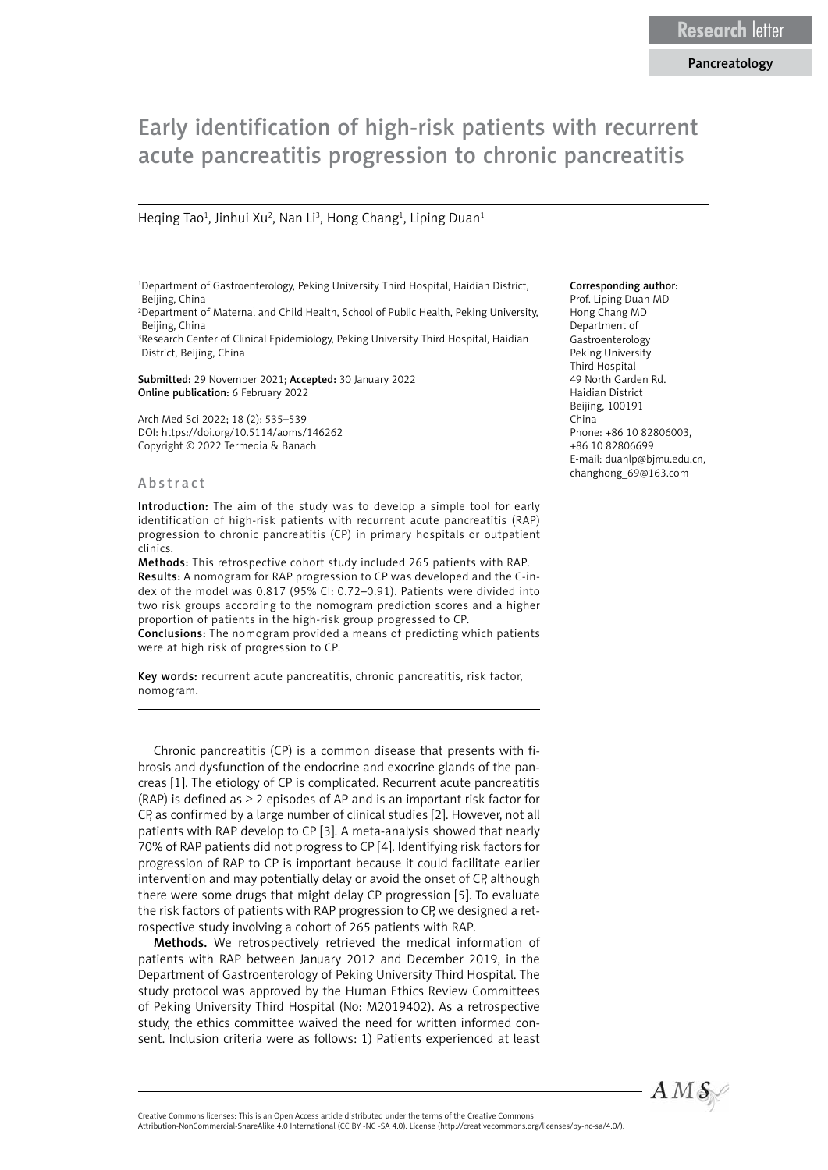# Early identification of high-risk patients with recurrent acute pancreatitis progression to chronic pancreatitis

Heqing Tao<sup>1</sup>, Jinhui Xu<sup>2</sup>, Nan Li<sup>3</sup>, Hong Chang<sup>1</sup>, Liping Duan<sup>1</sup>

1 Department of Gastroenterology, Peking University Third Hospital, Haidian District, Beijing, China

2 Department of Maternal and Child Health, School of Public Health, Peking University, Beijing, China

<sup>3</sup>Research Center of Clinical Epidemiology, Peking University Third Hospital, Haidian District, Beijing, China

Submitted: 29 November 2021; Accepted: 30 January 2022 Online publication: 6 February 2022

Arch Med Sci 2022; 18 (2): 535–539 DOI: https://doi.org/10.5114/aoms/146262 Copyright © 2022 Termedia & Banach

#### Abstract

Introduction: The aim of the study was to develop a simple tool for early identification of high-risk patients with recurrent acute pancreatitis (RAP) progression to chronic pancreatitis (CP) in primary hospitals or outpatient clinics.

Methods: This retrospective cohort study included 265 patients with RAP. Results: A nomogram for RAP progression to CP was developed and the C-index of the model was 0.817 (95% CI: 0.72–0.91). Patients were divided into two risk groups according to the nomogram prediction scores and a higher proportion of patients in the high-risk group progressed to CP. Conclusions: The nomogram provided a means of predicting which patients were at high risk of progression to CP.

Key words: recurrent acute pancreatitis, chronic pancreatitis, risk factor, nomogram.

Chronic pancreatitis (CP) is a common disease that presents with fibrosis and dysfunction of the endocrine and exocrine glands of the pancreas [1]. The etiology of CP is complicated. Recurrent acute pancreatitis (RAP) is defined as  $\geq$  2 episodes of AP and is an important risk factor for CP, as confirmed by a large number of clinical studies [2]. However, not all patients with RAP develop to CP [3]. A meta-analysis showed that nearly 70% of RAP patients did not progress to CP [4]. Identifying risk factors for progression of RAP to CP is important because it could facilitate earlier intervention and may potentially delay or avoid the onset of CP, although there were some drugs that might delay CP progression [5]. To evaluate the risk factors of patients with RAP progression to CP, we designed a retrospective study involving a cohort of 265 patients with RAP.

Methods. We retrospectively retrieved the medical information of patients with RAP between January 2012 and December 2019, in the Department of Gastroenterology of Peking University Third Hospital. The study protocol was approved by the Human Ethics Review Committees of Peking University Third Hospital (No: M2019402). As a retrospective study, the ethics committee waived the need for written informed consent. Inclusion criteria were as follows: 1) Patients experienced at least

#### Corresponding author:

Prof. Liping Duan MD Hong Chang MD Department of Gastroenterology Peking University Third Hospital 49 North Garden Rd. Haidian District Beijing, 100191 China Phone: +86 10 82806003, +86 10 82806699 E-mail: [duanlp@bjmu.edu.cn,](mailto:duanlp@bjmu.edu.cn) [changhong\\_69@163.com](mailto:changhong_69@163.com)



Attribution-NonCommercial-ShareAlike 4.0 International (CC BY -NC -SA 4.0). License (http://creativecommons.org/licenses/by-nc-sa/4.0/).

Creative Commons licenses: This is an Open Access article distributed under the terms of the Creative Commons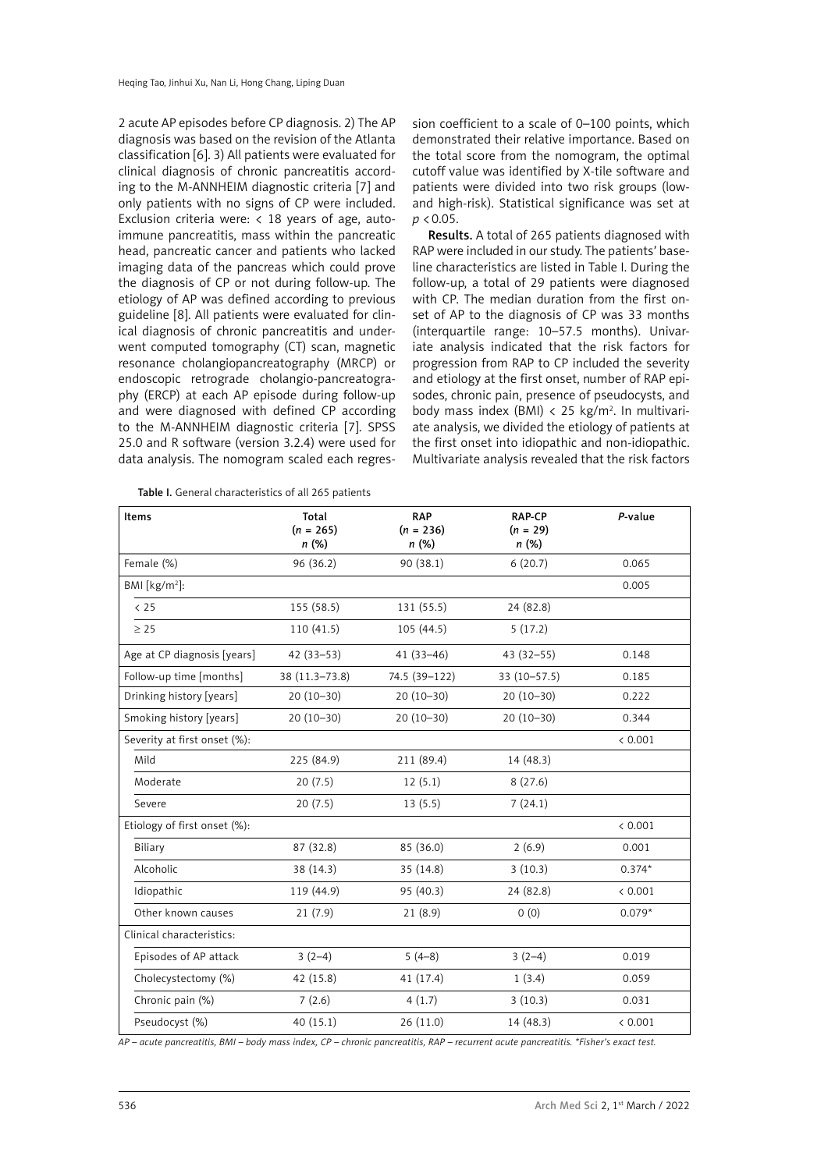2 acute AP episodes before CP diagnosis. 2) The AP diagnosis was based on the revision of the Atlanta classification [6]. 3) All patients were evaluated for clinical diagnosis of chronic pancreatitis according to the M-ANNHEIM diagnostic criteria [7] and only patients with no signs of CP were included. Exclusion criteria were:  $\langle 18 \rangle$  years of age, autoimmune pancreatitis, mass within the pancreatic head, pancreatic cancer and patients who lacked imaging data of the pancreas which could prove the diagnosis of CP or not during follow-up. The etiology of AP was defined according to previous guideline [8]. All patients were evaluated for clinical diagnosis of chronic pancreatitis and underwent computed tomography (CT) scan, magnetic resonance cholangiopancreatography (MRCP) or endoscopic retrograde cholangio-pancreatography (ERCP) at each AP episode during follow-up and were diagnosed with defined CP according to the M-ANNHEIM diagnostic criteria [7]. SPSS 25.0 and R software (version 3.2.4) were used for data analysis. The nomogram scaled each regres-

sion coefficient to a scale of 0–100 points, which demonstrated their relative importance. Based on the total score from the nomogram, the optimal cutoff value was identified by X-tile software and patients were divided into two risk groups (lowand high-risk). Statistical significance was set at *p* <0.05.

Results. A total of 265 patients diagnosed with RAP were included in our study. The patients' baseline characteristics are listed in Table I. During the follow-up, a total of 29 patients were diagnosed with CP. The median duration from the first onset of AP to the diagnosis of CP was 33 months (interquartile range: 10–57.5 months). Univariate analysis indicated that the risk factors for progression from RAP to CP included the severity and etiology at the first onset, number of RAP episodes, chronic pain, presence of pseudocysts, and body mass index (BMI) < 25 kg/m<sup>2</sup>. In multivariate analysis, we divided the etiology of patients at the first onset into idiopathic and non-idiopathic. Multivariate analysis revealed that the risk factors

Table I. General characteristics of all 265 patients

| Items                        | Total<br>$(n = 265)$ | <b>RAP</b><br>$(n = 236)$ | <b>RAP-CP</b><br>$(n = 29)$ | P-value  |  |
|------------------------------|----------------------|---------------------------|-----------------------------|----------|--|
|                              | n(%)                 | n (%)                     | n (%)                       |          |  |
| Female (%)                   | 96 (36.2)            | 90 (38.1)                 | 6(20.7)                     | 0.065    |  |
| BMI [ $kg/m^2$ ]:            |                      |                           |                             | 0.005    |  |
| < 25                         | 155 (58.5)           | 131 (55.5)                | 24 (82.8)                   |          |  |
| $\geq 25$                    | 110(41.5)            | 105(44.5)                 | 5(17.2)                     |          |  |
| Age at CP diagnosis [years]  | $42(33 - 53)$        | $41(33 - 46)$             | $43(32 - 55)$               | 0.148    |  |
| Follow-up time [months]      | 38 (11.3-73.8)       | 74.5 (39-122)             | $33(10-57.5)$               | 0.185    |  |
| Drinking history [years]     | $20(10-30)$          | $20(10-30)$               | $20(10-30)$                 | 0.222    |  |
| Smoking history [years]      | $20(10-30)$          | $20(10-30)$               | $20(10-30)$                 | 0.344    |  |
| Severity at first onset (%): |                      |                           |                             | < 0.001  |  |
| Mild                         | 225 (84.9)           | 211 (89.4)                | 14 (48.3)                   |          |  |
| Moderate                     | 20(7.5)              | 12(5.1)                   | 8(27.6)                     |          |  |
| Severe                       | 20(7.5)              | 13(5.5)                   | 7(24.1)                     |          |  |
| Etiology of first onset (%): |                      |                           |                             | < 0.001  |  |
| Biliary                      | 87 (32.8)            | 85 (36.0)                 | 2(6.9)                      | 0.001    |  |
| Alcoholic                    | 38 (14.3)            | 35 (14.8)                 | 3(10.3)                     | $0.374*$ |  |
| Idiopathic                   | 119 (44.9)           | 95 (40.3)                 | 24 (82.8)                   | < 0.001  |  |
| Other known causes           | 21(7.9)              | 21(8.9)                   | 0(0)                        | $0.079*$ |  |
| Clinical characteristics:    |                      |                           |                             |          |  |
| Episodes of AP attack        | $3(2-4)$             | $5(4-8)$                  | $3(2-4)$                    | 0.019    |  |
| Cholecystectomy (%)          | 42 (15.8)            | 41 (17.4)                 | 1(3.4)                      | 0.059    |  |
| Chronic pain (%)             | 7(2.6)               | 4(1.7)                    | 3(10.3)                     | 0.031    |  |
| Pseudocyst (%)               | 40 (15.1)            | 26(11.0)                  | 14 (48.3)                   | < 0.001  |  |

*AP – acute pancreatitis, BMI – body mass index, CP – chronic pancreatitis, RAP – recurrent acute pancreatitis. \*Fisher's exact test.*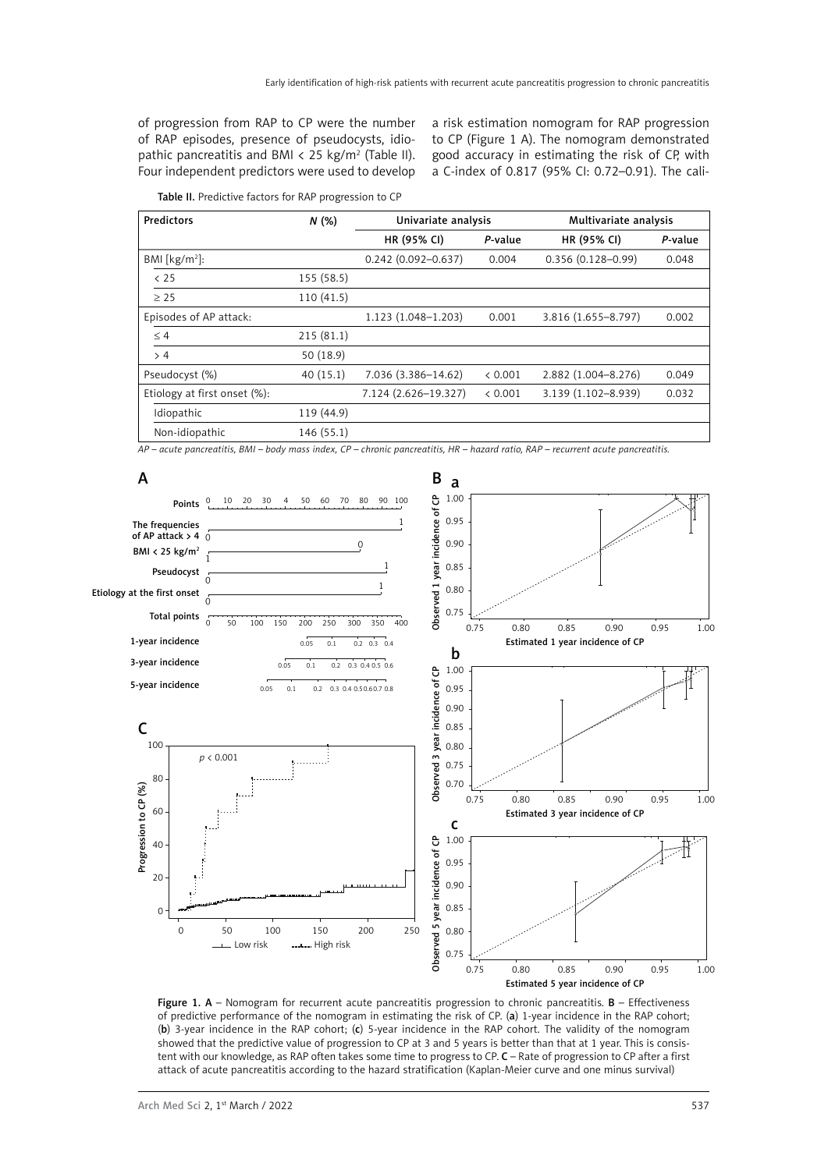of progression from RAP to CP were the number of RAP episodes, presence of pseudocysts, idiopathic pancreatitis and BMI  $\langle$  25 kg/m<sup>2</sup> (Table II). Four independent predictors were used to develop

a risk estimation nomogram for RAP progression to CP (Figure 1 A). The nomogram demonstrated good accuracy in estimating the risk of CP, with a C-index of 0.817 (95% CI: 0.72–0.91). The cali-

|  |  |  |  |  | Table II. Predictive factors for RAP progression to CP |  |
|--|--|--|--|--|--------------------------------------------------------|--|
|--|--|--|--|--|--------------------------------------------------------|--|

| Predictors                   | N(%)       | Univariate analysis    |         | Multivariate analysis |         |
|------------------------------|------------|------------------------|---------|-----------------------|---------|
|                              |            | HR (95% CI)            | P-value | HR (95% CI)           | P-value |
| BMI [ $kg/m2$ ]:             |            | $0.242(0.092 - 0.637)$ | 0.004   | $0.356(0.128 - 0.99)$ | 0.048   |
| $<$ 25                       | 155 (58.5) |                        |         |                       |         |
| $\geq$ 25                    | 110(41.5)  |                        |         |                       |         |
| Episodes of AP attack:       |            | 1.123 (1.048-1.203)    | 0.001   | 3.816 (1.655-8.797)   | 0.002   |
| $\leq 4$                     | 215(81.1)  |                        |         |                       |         |
| > 4                          | 50 (18.9)  |                        |         |                       |         |
| Pseudocyst (%)               | 40(15.1)   | 7.036 (3.386-14.62)    | < 0.001 | 2.882 (1.004-8.276)   | 0.049   |
| Etiology at first onset (%): |            | 7.124 (2.626-19.327)   | < 0.001 | 3.139 (1.102-8.939)   | 0.032   |
| Idiopathic                   | 119 (44.9) |                        |         |                       |         |
| Non-idiopathic               | 146 (55.1) |                        |         |                       |         |

*AP – acute pancreatitis, BMI – body mass index, CP – chronic pancreatitis, HR – hazard ratio, RAP – recurrent acute pancreatitis.*



Figure 1. A - Nomogram for recurrent acute pancreatitis progression to chronic pancreatitis. B - Effectiveness of predictive performance of the nomogram in estimating the risk of CP. (a) 1-year incidence in the RAP cohort; (b) 3-year incidence in the RAP cohort; (c) 5-year incidence in the RAP cohort. The validity of the nomogram showed that the predictive value of progression to CP at 3 and 5 years is better than that at 1 year. This is consistent with our knowledge, as RAP often takes some time to progress to CP. C - Rate of progression to CP after a first attack of acute pancreatitis according to the hazard stratification (Kaplan-Meier curve and one minus survival)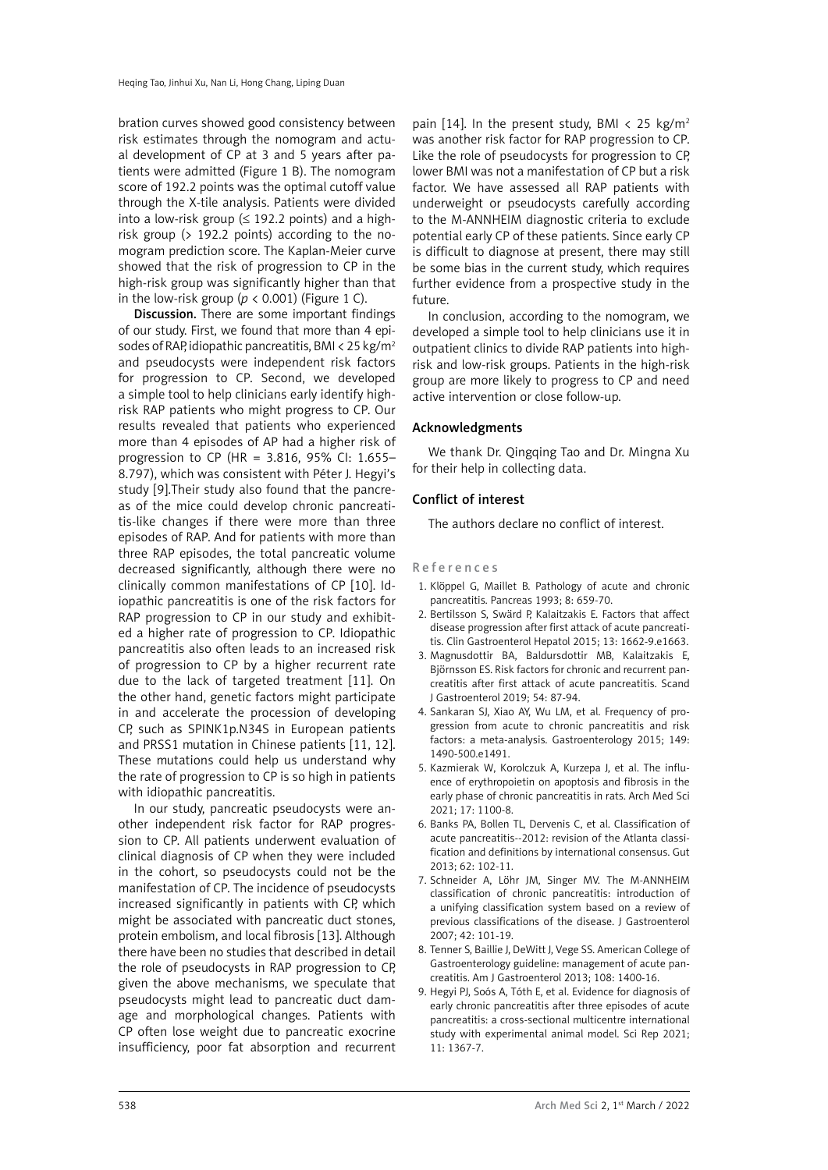bration curves showed good consistency between risk estimates through the nomogram and actual development of CP at 3 and 5 years after patients were admitted (Figure 1 B). The nomogram score of 192.2 points was the optimal cutoff value through the X-tile analysis. Patients were divided into a low-risk group ( $\leq$  192.2 points) and a highrisk group (> 192.2 points) according to the nomogram prediction score. The Kaplan-Meier curve showed that the risk of progression to CP in the high-risk group was significantly higher than that in the low-risk group ( $p < 0.001$ ) (Figure 1 C).

Discussion. There are some important findings of our study. First, we found that more than 4 episodes of RAP, idiopathic pancreatitis, BMI < 25 kg/m<sup>2</sup> and pseudocysts were independent risk factors for progression to CP. Second, we developed a simple tool to help clinicians early identify highrisk RAP patients who might progress to CP. Our results revealed that patients who experienced more than 4 episodes of AP had a higher risk of progression to CP (HR = 3.816, 95% CI: 1.655– 8.797), which was consistent with Péter J. Hegyi's study [9].Their study also found that the pancreas of the mice could develop chronic pancreatitis-like changes if there were more than three episodes of RAP. And for patients with more than three RAP episodes, the total pancreatic volume decreased significantly, although there were no clinically common manifestations of CP [10]. Idiopathic pancreatitis is one of the risk factors for RAP progression to CP in our study and exhibited a higher rate of progression to CP. Idiopathic pancreatitis also often leads to an increased risk of progression to CP by a higher recurrent rate due to the lack of targeted treatment [11]. On the other hand, genetic factors might participate in and accelerate the procession of developing CP, such as SPINK1p.N34S in European patients and PRSS1 mutation in Chinese patients [11, 12]. These mutations could help us understand why the rate of progression to CP is so high in patients with idiopathic pancreatitis.

In our study, pancreatic pseudocysts were another independent risk factor for RAP progression to CP. All patients underwent evaluation of clinical diagnosis of CP when they were included in the cohort, so pseudocysts could not be the manifestation of CP. The incidence of pseudocysts increased significantly in patients with CP, which might be associated with pancreatic duct stones, protein embolism, and local fibrosis [13]. Although there have been no studies that described in detail the role of pseudocysts in RAP progression to CP, given the above mechanisms, we speculate that pseudocysts might lead to pancreatic duct damage and morphological changes. Patients with CP often lose weight due to pancreatic exocrine insufficiency, poor fat absorption and recurrent

pain [14]. In the present study, BMI  $\langle$  25 kg/m<sup>2</sup> was another risk factor for RAP progression to CP. Like the role of pseudocysts for progression to CP, lower BMI was not a manifestation of CP but a risk factor. We have assessed all RAP patients with underweight or pseudocysts carefully according to the M-ANNHEIM diagnostic criteria to exclude potential early CP of these patients. Since early CP is difficult to diagnose at present, there may still be some bias in the current study, which requires further evidence from a prospective study in the future.

In conclusion, according to the nomogram, we developed a simple tool to help clinicians use it in outpatient clinics to divide RAP patients into highrisk and low-risk groups. Patients in the high-risk group are more likely to progress to CP and need active intervention or close follow-up.

### Acknowledgments

We thank Dr. Qingqing Tao and Dr. Mingna Xu for their help in collecting data.

# Conflict of interest

The authors declare no conflict of interest.

## References

- 1. Klöppel G, Maillet B. Pathology of acute and chronic pancreatitis. Pancreas 1993; 8: 659-70.
- 2. Bertilsson S, Swärd P, Kalaitzakis E. Factors that affect disease progression after first attack of acute pancreatitis. Clin Gastroenterol Hepatol 2015; 13: 1662-9.e1663.
- 3. Magnusdottir BA, Baldursdottir MB, Kalaitzakis E, Björnsson ES. Risk factors for chronic and recurrent pancreatitis after first attack of acute pancreatitis. Scand J Gastroenterol 2019; 54: 87-94.
- 4. Sankaran SJ, Xiao AY, Wu LM, et al. Frequency of progression from acute to chronic pancreatitis and risk factors: a meta-analysis. Gastroenterology 2015; 149: 1490-500.e1491.
- 5. Kazmierak W, Korolczuk A, Kurzepa J, et al. The influence of erythropoietin on apoptosis and fibrosis in the early phase of chronic pancreatitis in rats. Arch Med Sci 2021; 17: 1100-8.
- 6. Banks PA, Bollen TL, Dervenis C, et al. Classification of acute pancreatitis--2012: revision of the Atlanta classification and definitions by international consensus. Gut 2013; 62: 102-11.
- 7. Schneider A, Löhr JM, Singer MV. The M-ANNHEIM classification of chronic pancreatitis: introduction of a unifying classification system based on a review of previous classifications of the disease. J Gastroenterol 2007; 42: 101-19.
- 8. Tenner S, Baillie J, DeWitt J, Vege SS. American College of Gastroenterology guideline: management of acute pancreatitis. Am J Gastroenterol 2013; 108: 1400-16.
- 9. Hegyi PJ, Soós A, Tóth E, et al. Evidence for diagnosis of early chronic pancreatitis after three episodes of acute pancreatitis: a cross-sectional multicentre international study with experimental animal model. Sci Rep 2021; 11: 1367-7.